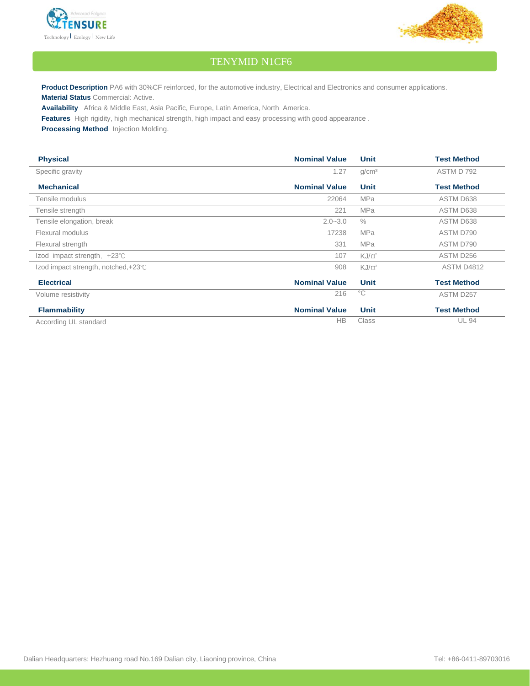



## TENYMID N1CF6

**Product Description** PA6 with 30%CF reinforced, for the automotive industry, Electrical and Electronics and consumer applications. **Material Status** Commercial: Active.

**Availability** Africa & Middle East, Asia Pacific, Europe, Latin America, North America.

**Features** High rigidity, high mechanical strength, high impact and easy processing with good appearance .

**Processing Method** Injection Molding.

| <b>Physical</b>                       | <b>Nominal Value</b> | <b>Unit</b>       | <b>Test Method</b> |
|---------------------------------------|----------------------|-------------------|--------------------|
| Specific gravity                      | 1.27                 | g/cm <sup>3</sup> | ASTM D 792         |
| <b>Mechanical</b>                     | <b>Nominal Value</b> | <b>Unit</b>       | <b>Test Method</b> |
| Tensile modulus                       | 22064                | <b>MPa</b>        | ASTM D638          |
| Tensile strength                      | 221                  | <b>MPa</b>        | ASTM D638          |
| Tensile elongation, break             | $2.0 - 3.0$          | $\%$              | ASTM D638          |
| Flexural modulus                      | 17238                | <b>MPa</b>        | ASTM D790          |
| Flexural strength                     | 331                  | <b>MPa</b>        | ASTM D790          |
| Izod impact strength, $+23^{\circ}$ C | 107                  | $KJ/m^2$          | ASTM D256          |
| Izod impact strength, notched, +23℃   | 908                  | $KJ/m^2$          | <b>ASTM D4812</b>  |
| <b>Electrical</b>                     | <b>Nominal Value</b> | <b>Unit</b>       | <b>Test Method</b> |
| Volume resistivity                    | 216                  | $^{\circ}C$       | ASTM D257          |
| <b>Flammability</b>                   | <b>Nominal Value</b> | <b>Unit</b>       | <b>Test Method</b> |
| According UL standard                 | <b>HB</b>            | <b>Class</b>      | <b>UL 94</b>       |